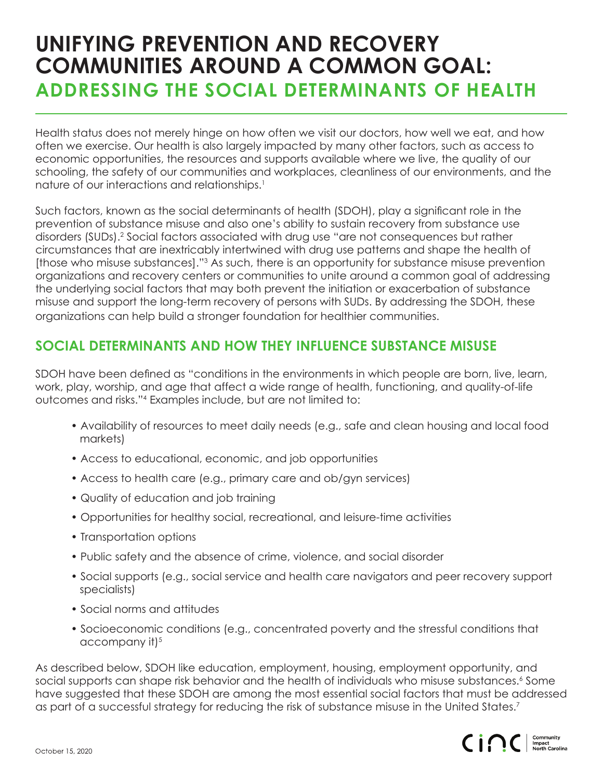## **UNIFYING PREVENTION AND RECOVERY COMMUNITIES AROUND A COMMON GOAL: ADDRESSING THE SOCIAL DETERMINANTS OF HEALTH**

Health status does not merely hinge on how often we visit our doctors, how well we eat, and how often we exercise. Our health is also largely impacted by many other factors, such as access to economic opportunities, the resources and supports available where we live, the quality of our schooling, the safety of our communities and workplaces, cleanliness of our environments, and the nature of our interactions and relationships.<sup>1</sup>

Such factors, known as the social determinants of health (SDOH), play a significant role in the prevention of substance misuse and also one's ability to sustain recovery from substance use disorders (SUDs).<sup>2</sup> Social factors associated with drug use "are not consequences but rather circumstances that are inextricably intertwined with drug use patterns and shape the health of [those who misuse substances]."3 As such, there is an opportunity for substance misuse prevention organizations and recovery centers or communities to unite around a common goal of addressing the underlying social factors that may both prevent the initiation or exacerbation of substance misuse and support the long-term recovery of persons with SUDs. By addressing the SDOH, these organizations can help build a stronger foundation for healthier communities.

### **SOCIAL DETERMINANTS AND HOW THEY INFLUENCE SUBSTANCE MISUSE**

SDOH have been defined as "conditions in the environments in which people are born, live, learn, work, play, worship, and age that affect a wide range of health, functioning, and quality-of-life outcomes and risks."4 Examples include, but are not limited to:

- Availability of resources to meet daily needs (e.g., safe and clean housing and local food markets)
- Access to educational, economic, and job opportunities
- Access to health care (e.g., primary care and ob/gyn services)
- Quality of education and job training
- Opportunities for healthy social, recreational, and leisure-time activities
- Transportation options
- Public safety and the absence of crime, violence, and social disorder
- Social supports (e.g., social service and health care navigators and peer recovery support specialists)
- Social norms and attitudes
- Socioeconomic conditions (e.g., concentrated poverty and the stressful conditions that  $accompany$  it) $5$

As described below, SDOH like education, employment, housing, employment opportunity, and social supports can shape risk behavior and the health of individuals who misuse substances.' Some have suggested that these SDOH are among the most essential social factors that must be addressed as part of a successful strategy for reducing the risk of substance misuse in the United States.<sup>7</sup>

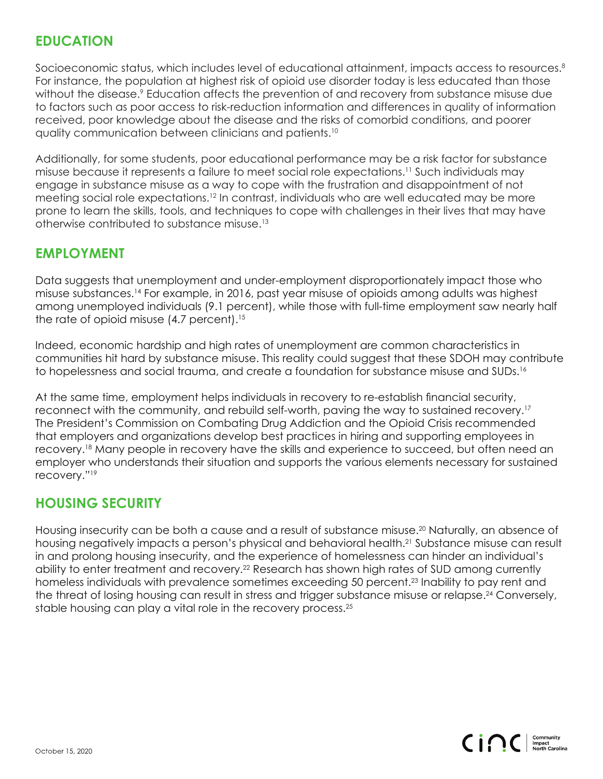#### **EDUCATION**

Socioeconomic status, which includes level of educational attainment, impacts access to resources.<sup>8</sup> For instance, the population at highest risk of opioid use disorder today is less educated than those without the disease.<sup>9</sup> Education affects the prevention of and recovery from substance misuse due to factors such as poor access to risk-reduction information and differences in quality of information received, poor knowledge about the disease and the risks of comorbid conditions, and poorer quality communication between clinicians and patients.10

Additionally, for some students, poor educational performance may be a risk factor for substance misuse because it represents a failure to meet social role expectations.11 Such individuals may engage in substance misuse as a way to cope with the frustration and disappointment of not meeting social role expectations.<sup>12</sup> In contrast, individuals who are well educated may be more prone to learn the skills, tools, and techniques to cope with challenges in their lives that may have otherwise contributed to substance misuse.13

#### **EMPLOYMENT**

Data suggests that unemployment and under-employment disproportionately impact those who misuse substances.14 For example, in 2016, past year misuse of opioids among adults was highest among unemployed individuals (9.1 percent), while those with full-time employment saw nearly half the rate of opioid misuse (4.7 percent).<sup>15</sup>

Indeed, economic hardship and high rates of unemployment are common characteristics in communities hit hard by substance misuse. This reality could suggest that these SDOH may contribute to hopelessness and social trauma, and create a foundation for substance misuse and SUDs.<sup>16</sup>

At the same time, employment helps individuals in recovery to re-establish financial security, reconnect with the community, and rebuild self-worth, paving the way to sustained recovery.17 The President's Commission on Combating Drug Addiction and the Opioid Crisis recommended that employers and organizations develop best practices in hiring and supporting employees in recovery.18 Many people in recovery have the skills and experience to succeed, but often need an employer who understands their situation and supports the various elements necessary for sustained recovery."19

#### **HOUSING SECURITY**

Housing insecurity can be both a cause and a result of substance misuse.<sup>20</sup> Naturally, an absence of housing negatively impacts a person's physical and behavioral health.<sup>21</sup> Substance misuse can result in and prolong housing insecurity, and the experience of homelessness can hinder an individual's ability to enter treatment and recovery.<sup>22</sup> Research has shown high rates of SUD among currently homeless individuals with prevalence sometimes exceeding 50 percent.<sup>23</sup> Inability to pay rent and the threat of losing housing can result in stress and trigger substance misuse or relapse.<sup>24</sup> Conversely, stable housing can play a vital role in the recovery process.<sup>25</sup>

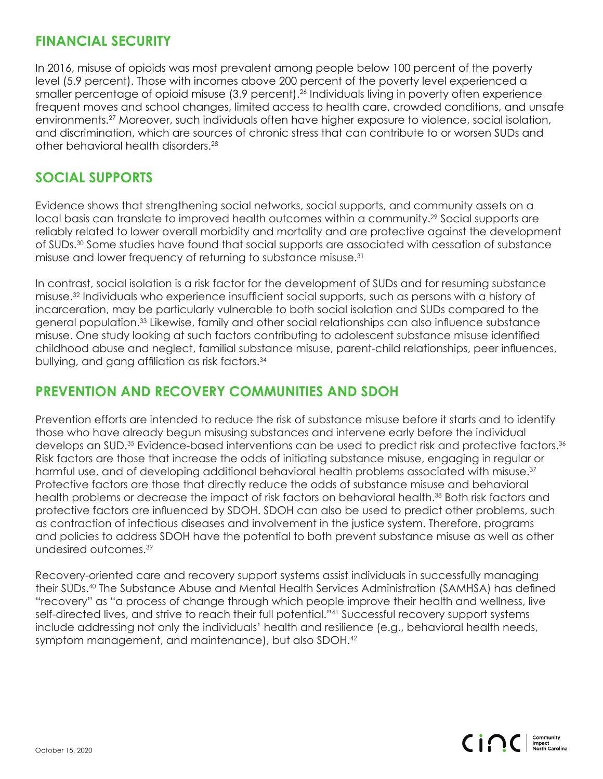#### **FINANCIAL SECURITY**

In 2016, misuse of opioids was most prevalent among people below 100 percent of the poverty level (5.9 percent). Those with incomes above 200 percent of the poverty level experienced a smaller percentage of opioid misuse (3.9 percent).<sup>26</sup> Individuals living in poverty often experience frequent moves and school changes, limited access to health care, crowded conditions, and unsafe environments.<sup>27</sup> Moreover, such individuals often have higher exposure to violence, social isolation, and discrimination, which are sources of chronic stress that can contribute to or worsen SUDs and other behavioral health disorders.28

#### **SOCIAL SUPPORTS**

Evidence shows that strengthening social networks, social supports, and community assets on a local basis can translate to improved health outcomes within a community.<sup>29</sup> Social supports are reliably related to lower overall morbidity and mortality and are protective against the development of SUDs.30 Some studies have found that social supports are associated with cessation of substance misuse and lower frequency of returning to substance misuse.31

In contrast, social isolation is a risk factor for the development of SUDs and for resuming substance misuse.32 Individuals who experience insufficient social supports, such as persons with a history of incarceration, may be particularly vulnerable to both social isolation and SUDs compared to the general population.33 Likewise, family and other social relationships can also influence substance misuse. One study looking at such factors contributing to adolescent substance misuse identified childhood abuse and neglect, familial substance misuse, parent-child relationships, peer influences, bullying, and gang affiliation as risk factors.<sup>34</sup>

#### **PREVENTION AND RECOVERY COMMUNITIES AND SDOH**

Prevention efforts are intended to reduce the risk of substance misuse before it starts and to identify those who have already begun misusing substances and intervene early before the individual develops an SUD.35 Evidence-based interventions can be used to predict risk and protective factors.36 Risk factors are those that increase the odds of initiating substance misuse, engaging in regular or harmful use, and of developing additional behavioral health problems associated with misuse.<sup>37</sup> Protective factors are those that directly reduce the odds of substance misuse and behavioral health problems or decrease the impact of risk factors on behavioral health.<sup>38</sup> Both risk factors and protective factors are influenced by SDOH. SDOH can also be used to predict other problems, such as contraction of infectious diseases and involvement in the justice system. Therefore, programs and policies to address SDOH have the potential to both prevent substance misuse as well as other undesired outcomes.39

Recovery-oriented care and recovery support systems assist individuals in successfully managing their SUDs.40 The Substance Abuse and Mental Health Services Administration (SAMHSA) has defined "recovery" as "a process of change through which people improve their health and wellness, live self-directed lives, and strive to reach their full potential."<sup>41</sup> Successful recovery support systems include addressing not only the individuals' health and resilience (e.g., behavioral health needs, symptom management, and maintenance), but also SDOH.<sup>42</sup>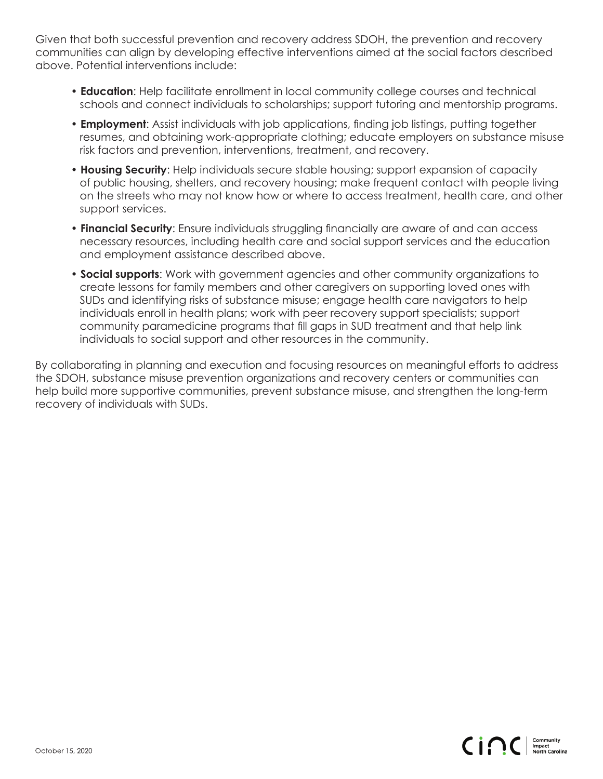Given that both successful prevention and recovery address SDOH, the prevention and recovery communities can align by developing effective interventions aimed at the social factors described above. Potential interventions include:

- **Education**: Help facilitate enrollment in local community college courses and technical schools and connect individuals to scholarships; support tutoring and mentorship programs.
- **Employment**: Assist individuals with job applications, finding job listings, putting together resumes, and obtaining work-appropriate clothing; educate employers on substance misuse risk factors and prevention, interventions, treatment, and recovery.
- **Housing Security**: Help individuals secure stable housing; support expansion of capacity of public housing, shelters, and recovery housing; make frequent contact with people living on the streets who may not know how or where to access treatment, health care, and other support services.
- **Financial Security**: Ensure individuals struggling financially are aware of and can access necessary resources, including health care and social support services and the education and employment assistance described above.
- **Social supports**: Work with government agencies and other community organizations to create lessons for family members and other caregivers on supporting loved ones with SUDs and identifying risks of substance misuse; engage health care navigators to help individuals enroll in health plans; work with peer recovery support specialists; support community paramedicine programs that fill gaps in SUD treatment and that help link individuals to social support and other resources in the community.

By collaborating in planning and execution and focusing resources on meaningful efforts to address the SDOH, substance misuse prevention organizations and recovery centers or communities can help build more supportive communities, prevent substance misuse, and strengthen the long-term recovery of individuals with SUDs.